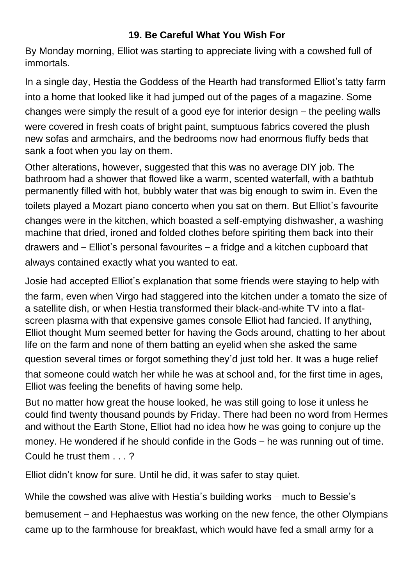## **19. Be Careful What You Wish For**

By Monday morning, Elliot was starting to appreciate living with a cowshed full of immortals.

In a single day, Hestia the Goddess of the Hearth had transformed Elliot's tatty farm into a home that looked like it had jumped out of the pages of a magazine. Some changes were simply the result of a good eye for interior design – the peeling walls were covered in fresh coats of bright paint, sumptuous fabrics covered the plush new sofas and armchairs, and the bedrooms now had enormous fluffy beds that sank a foot when you lay on them.

Other alterations, however, suggested that this was no average DIY job. The bathroom had a shower that flowed like a warm, scented waterfall, with a bathtub permanently filled with hot, bubbly water that was big enough to swim in. Even the toilets played a Mozart piano concerto when you sat on them. But Elliot's favourite changes were in the kitchen, which boasted a self-emptying dishwasher, a washing machine that dried, ironed and folded clothes before spiriting them back into their drawers and – Elliot's personal favourites – a fridge and a kitchen cupboard that always contained exactly what you wanted to eat.

Josie had accepted Elliot's explanation that some friends were staying to help with the farm, even when Virgo had staggered into the kitchen under a tomato the size of a satellite dish, or when Hestia transformed their black-and-white TV into a flatscreen plasma with that expensive games console Elliot had fancied. If anything, Elliot thought Mum seemed better for having the Gods around, chatting to her about life on the farm and none of them batting an eyelid when she asked the same question several times or forgot something they'd just told her. It was a huge relief that someone could watch her while he was at school and, for the first time in ages, Elliot was feeling the benefits of having some help.

But no matter how great the house looked, he was still going to lose it unless he could find twenty thousand pounds by Friday. There had been no word from Hermes and without the Earth Stone, Elliot had no idea how he was going to conjure up the money. He wondered if he should confide in the Gods – he was running out of time. Could he trust them . . . ?

Elliot didn't know for sure. Until he did, it was safer to stay quiet.

While the cowshed was alive with Hestia's building works – much to Bessie's

bemusement – and Hephaestus was working on the new fence, the other Olympians came up to the farmhouse for breakfast, which would have fed a small army for a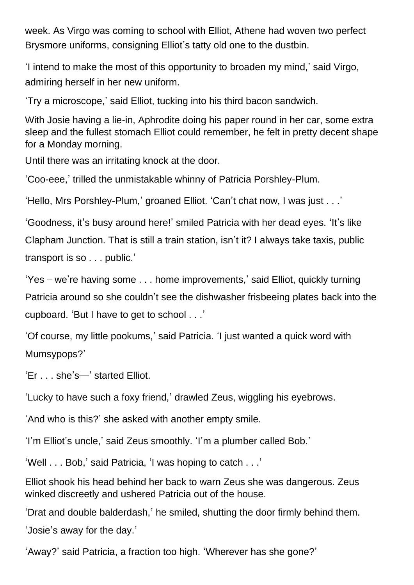week. As Virgo was coming to school with Elliot, Athene had woven two perfect Brysmore uniforms, consigning Elliot's tatty old one to the dustbin.

'I intend to make the most of this opportunity to broaden my mind,' said Virgo, admiring herself in her new uniform.

'Try a microscope,' said Elliot, tucking into his third bacon sandwich.

With Josie having a lie-in, Aphrodite doing his paper round in her car, some extra sleep and the fullest stomach Elliot could remember, he felt in pretty decent shape for a Monday morning.

Until there was an irritating knock at the door.

'Coo-eee,' trilled the unmistakable whinny of Patricia Porshley-Plum.

'Hello, Mrs Porshley-Plum,' groaned Elliot. 'Can't chat now, I was just . . .'

'Goodness, it's busy around here!' smiled Patricia with her dead eyes. 'It's like

Clapham Junction. That is still a train station, isn't it? I always take taxis, public transport is so . . . public.'

'Yes – we're having some . . . home improvements,' said Elliot, quickly turning Patricia around so she couldn't see the dishwasher frisbeeing plates back into the cupboard. 'But I have to get to school . . .'

'Of course, my little pookums,' said Patricia. 'I just wanted a quick word with Mumsypops?'

'Er . . . she's—' started Elliot.

'Lucky to have such a foxy friend,' drawled Zeus, wiggling his eyebrows.

'And who is this?' she asked with another empty smile.

'I'm Elliot's uncle,' said Zeus smoothly. 'I'm a plumber called Bob.'

'Well . . . Bob,' said Patricia, 'I was hoping to catch . . .'

Elliot shook his head behind her back to warn Zeus she was dangerous. Zeus winked discreetly and ushered Patricia out of the house.

'Drat and double balderdash,' he smiled, shutting the door firmly behind them.

'Josie's away for the day.'

'Away?' said Patricia, a fraction too high. 'Wherever has she gone?'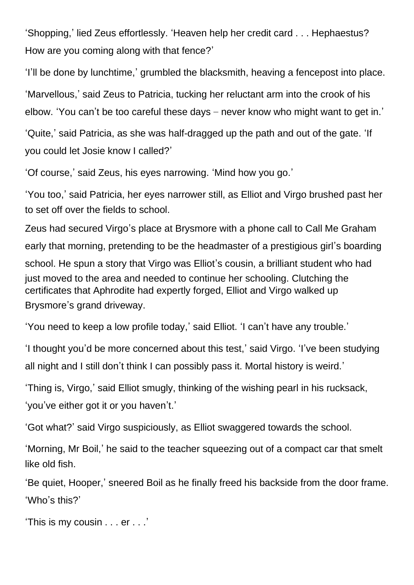'Shopping,' lied Zeus effortlessly. 'Heaven help her credit card . . . Hephaestus? How are you coming along with that fence?'

'I'll be done by lunchtime,' grumbled the blacksmith, heaving a fencepost into place. 'Marvellous,' said Zeus to Patricia, tucking her reluctant arm into the crook of his elbow. 'You can't be too careful these days – never know who might want to get in.'

'Quite,' said Patricia, as she was half-dragged up the path and out of the gate. 'If you could let Josie know I called?'

'Of course,' said Zeus, his eyes narrowing. 'Mind how you go.'

'You too,' said Patricia, her eyes narrower still, as Elliot and Virgo brushed past her to set off over the fields to school.

Zeus had secured Virgo's place at Brysmore with a phone call to Call Me Graham early that morning, pretending to be the headmaster of a prestigious girl's boarding school. He spun a story that Virgo was Elliot's cousin, a brilliant student who had just moved to the area and needed to continue her schooling. Clutching the certificates that Aphrodite had expertly forged, Elliot and Virgo walked up Brysmore's grand driveway.

'You need to keep a low profile today,' said Elliot. 'I can't have any trouble.'

'I thought you'd be more concerned about this test,' said Virgo. 'I've been studying all night and I still don't think I can possibly pass it. Mortal history is weird.'

'Thing is, Virgo,' said Elliot smugly, thinking of the wishing pearl in his rucksack, 'you've either got it or you haven't.'

'Got what?' said Virgo suspiciously, as Elliot swaggered towards the school.

'Morning, Mr Boil,' he said to the teacher squeezing out of a compact car that smelt like old fish.

'Be quiet, Hooper,' sneered Boil as he finally freed his backside from the door frame. 'Who's this?'

'This is my cousin . . . er . . .'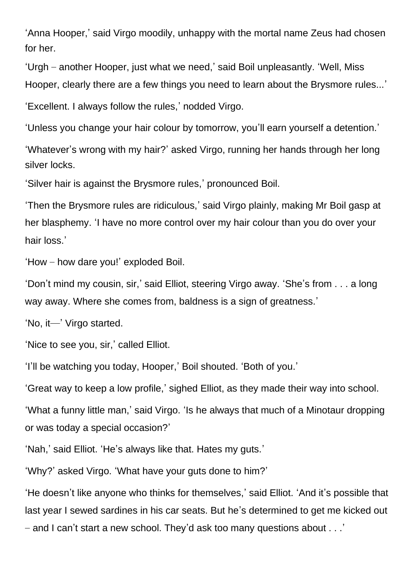'Anna Hooper,' said Virgo moodily, unhappy with the mortal name Zeus had chosen for her.

'Urgh – another Hooper, just what we need,' said Boil unpleasantly. 'Well, Miss Hooper, clearly there are a few things you need to learn about the Brysmore rules...'

'Excellent. I always follow the rules,' nodded Virgo.

'Unless you change your hair colour by tomorrow, you'll earn yourself a detention.'

'Whatever's wrong with my hair?' asked Virgo, running her hands through her long silver locks.

'Silver hair is against the Brysmore rules,' pronounced Boil.

'Then the Brysmore rules are ridiculous,' said Virgo plainly, making Mr Boil gasp at her blasphemy. 'I have no more control over my hair colour than you do over your hair loss.'

'How – how dare you!' exploded Boil.

'Don't mind my cousin, sir,' said Elliot, steering Virgo away. 'She's from . . . a long way away. Where she comes from, baldness is a sign of greatness.'

'No, it—' Virgo started.

'Nice to see you, sir,' called Elliot.

'I'll be watching you today, Hooper,' Boil shouted. 'Both of you.'

'Great way to keep a low profile,' sighed Elliot, as they made their way into school.

'What a funny little man,' said Virgo. 'Is he always that much of a Minotaur dropping or was today a special occasion?'

'Nah,' said Elliot. 'He's always like that. Hates my guts.'

'Why?' asked Virgo. 'What have your guts done to him?'

'He doesn't like anyone who thinks for themselves,' said Elliot. 'And it's possible that last year I sewed sardines in his car seats. But he's determined to get me kicked out – and I can't start a new school. They'd ask too many questions about . . .'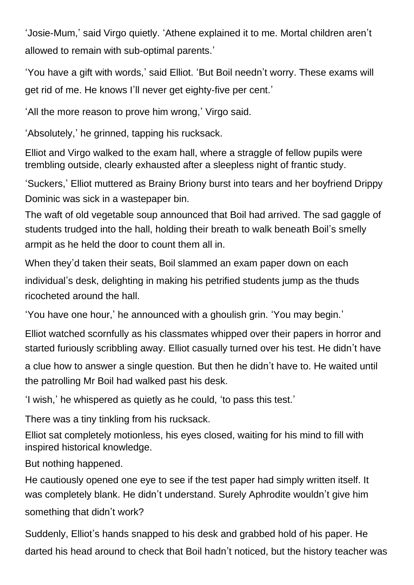'Josie-Mum,' said Virgo quietly. 'Athene explained it to me. Mortal children aren't allowed to remain with sub-optimal parents.'

'You have a gift with words,' said Elliot. 'But Boil needn't worry. These exams will get rid of me. He knows I'll never get eighty-five per cent.'

'All the more reason to prove him wrong,' Virgo said.

'Absolutely,' he grinned, tapping his rucksack.

Elliot and Virgo walked to the exam hall, where a straggle of fellow pupils were trembling outside, clearly exhausted after a sleepless night of frantic study.

'Suckers,' Elliot muttered as Brainy Briony burst into tears and her boyfriend Drippy Dominic was sick in a wastepaper bin.

The waft of old vegetable soup announced that Boil had arrived. The sad gaggle of students trudged into the hall, holding their breath to walk beneath Boil's smelly armpit as he held the door to count them all in.

When they'd taken their seats, Boil slammed an exam paper down on each individual's desk, delighting in making his petrified students jump as the thuds ricocheted around the hall.

'You have one hour,' he announced with a ghoulish grin. 'You may begin.'

Elliot watched scornfully as his classmates whipped over their papers in horror and started furiously scribbling away. Elliot casually turned over his test. He didn't have

a clue how to answer a single question. But then he didn't have to. He waited until the patrolling Mr Boil had walked past his desk.

'I wish,' he whispered as quietly as he could, 'to pass this test.'

There was a tiny tinkling from his rucksack.

Elliot sat completely motionless, his eyes closed, waiting for his mind to fill with inspired historical knowledge.

But nothing happened.

He cautiously opened one eye to see if the test paper had simply written itself. It was completely blank. He didn't understand. Surely Aphrodite wouldn't give him something that didn't work?

Suddenly, Elliot's hands snapped to his desk and grabbed hold of his paper. He darted his head around to check that Boil hadn't noticed, but the history teacher was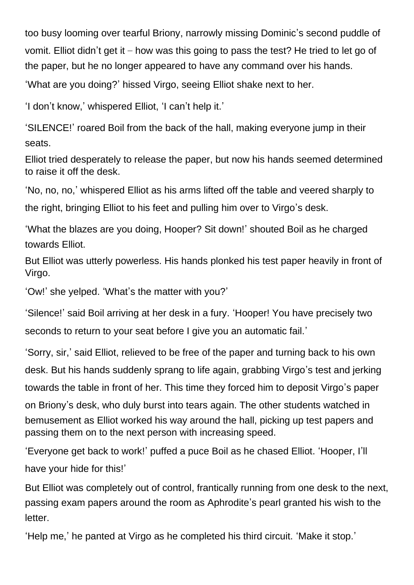too busy looming over tearful Briony, narrowly missing Dominic's second puddle of vomit. Elliot didn't get it – how was this going to pass the test? He tried to let go of the paper, but he no longer appeared to have any command over his hands.

'What are you doing?' hissed Virgo, seeing Elliot shake next to her.

'I don't know,' whispered Elliot, 'I can't help it.'

'SILENCE!' roared Boil from the back of the hall, making everyone jump in their seats.

Elliot tried desperately to release the paper, but now his hands seemed determined to raise it off the desk.

'No, no, no,' whispered Elliot as his arms lifted off the table and veered sharply to the right, bringing Elliot to his feet and pulling him over to Virgo's desk.

'What the blazes are you doing, Hooper? Sit down!' shouted Boil as he charged towards Elliot.

But Elliot was utterly powerless. His hands plonked his test paper heavily in front of Virgo.

'Ow!' she yelped. 'What's the matter with you?'

'Silence!' said Boil arriving at her desk in a fury. 'Hooper! You have precisely two seconds to return to your seat before I give you an automatic fail.'

'Sorry, sir,' said Elliot, relieved to be free of the paper and turning back to his own desk. But his hands suddenly sprang to life again, grabbing Virgo's test and jerking towards the table in front of her. This time they forced him to deposit Virgo's paper on Briony's desk, who duly burst into tears again. The other students watched in bemusement as Elliot worked his way around the hall, picking up test papers and passing them on to the next person with increasing speed.

'Everyone get back to work!' puffed a puce Boil as he chased Elliot. 'Hooper, I'll have your hide for this!'

But Elliot was completely out of control, frantically running from one desk to the next, passing exam papers around the room as Aphrodite's pearl granted his wish to the letter.

'Help me,' he panted at Virgo as he completed his third circuit. 'Make it stop.'